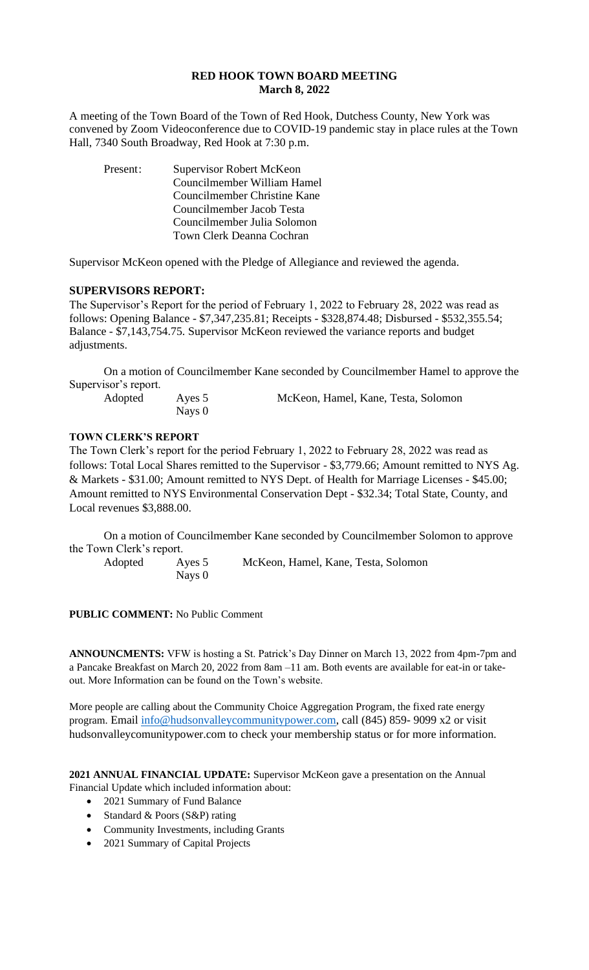# **RED HOOK TOWN BOARD MEETING March 8, 2022**

A meeting of the Town Board of the Town of Red Hook, Dutchess County, New York was convened by Zoom Videoconference due to COVID-19 pandemic stay in place rules at the Town Hall, 7340 South Broadway, Red Hook at 7:30 p.m.

Present: Supervisor Robert McKeon Councilmember William Hamel Councilmember Christine Kane Councilmember Jacob Testa Councilmember Julia Solomon Town Clerk Deanna Cochran

Supervisor McKeon opened with the Pledge of Allegiance and reviewed the agenda.

## **SUPERVISORS REPORT:**

The Supervisor's Report for the period of February 1, 2022 to February 28, 2022 was read as follows: Opening Balance - \$7,347,235.81; Receipts - \$328,874.48; Disbursed - \$532,355.54; Balance - \$7,143,754.75. Supervisor McKeon reviewed the variance reports and budget adjustments.

On a motion of Councilmember Kane seconded by Councilmember Hamel to approve the Supervisor's report.

| Adopted | Ayes 5 | McKeon, Hamel, Kane, Testa, Solomon |
|---------|--------|-------------------------------------|
|         | Nays 0 |                                     |

## **TOWN CLERK'S REPORT**

The Town Clerk's report for the period February 1, 2022 to February 28, 2022 was read as follows: Total Local Shares remitted to the Supervisor - \$3,779.66; Amount remitted to NYS Ag. & Markets - \$31.00; Amount remitted to NYS Dept. of Health for Marriage Licenses - \$45.00; Amount remitted to NYS Environmental Conservation Dept - \$32.34; Total State, County, and Local revenues \$3,888.00.

On a motion of Councilmember Kane seconded by Councilmember Solomon to approve the Town Clerk's report.

Nays 0

Adopted Ayes 5 McKeon, Hamel, Kane, Testa, Solomon

**PUBLIC COMMENT:** No Public Comment

**ANNOUNCMENTS:** VFW is hosting a St. Patrick's Day Dinner on March 13, 2022 from 4pm-7pm and a Pancake Breakfast on March 20, 2022 from 8am –11 am. Both events are available for eat-in or takeout. More Information can be found on the Town's website.

More people are calling about the Community Choice Aggregation Program, the fixed rate energy program. Email [info@hudsonvalleycommunitypower.com,](mailto:info@hudsonvalleycommunitypower.com) call (845) 859- 9099 x2 or visit hudsonvalleycomunitypower.com to check your membership status or for more information.

**2021 ANNUAL FINANCIAL UPDATE:** Supervisor McKeon gave a presentation on the Annual Financial Update which included information about:

- 2021 Summary of Fund Balance
- Standard & Poors (S&P) rating
- Community Investments, including Grants
- 2021 Summary of Capital Projects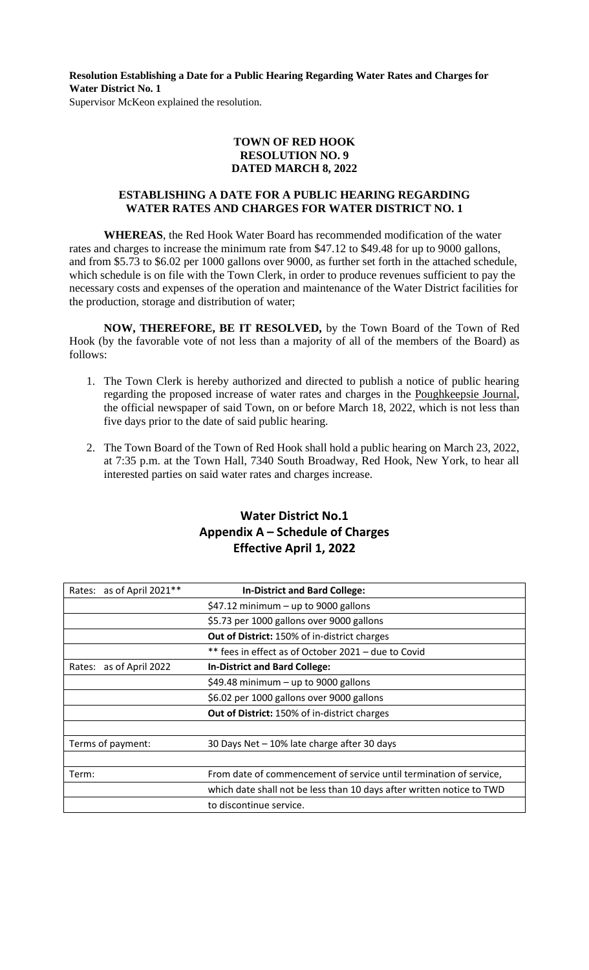**Resolution Establishing a Date for a Public Hearing Regarding Water Rates and Charges for Water District No. 1** Supervisor McKeon explained the resolution.

### **TOWN OF RED HOOK RESOLUTION NO. 9 DATED MARCH 8, 2022**

### **ESTABLISHING A DATE FOR A PUBLIC HEARING REGARDING WATER RATES AND CHARGES FOR WATER DISTRICT NO. 1**

**WHEREAS**, the Red Hook Water Board has recommended modification of the water rates and charges to increase the minimum rate from \$47.12 to \$49.48 for up to 9000 gallons, and from \$5.73 to \$6.02 per 1000 gallons over 9000, as further set forth in the attached schedule, which schedule is on file with the Town Clerk, in order to produce revenues sufficient to pay the necessary costs and expenses of the operation and maintenance of the Water District facilities for the production, storage and distribution of water;

**NOW, THEREFORE, BE IT RESOLVED,** by the Town Board of the Town of Red Hook (by the favorable vote of not less than a majority of all of the members of the Board) as follows:

- 1. The Town Clerk is hereby authorized and directed to publish a notice of public hearing regarding the proposed increase of water rates and charges in the Poughkeepsie Journal, the official newspaper of said Town, on or before March 18, 2022, which is not less than five days prior to the date of said public hearing.
- 2. The Town Board of the Town of Red Hook shall hold a public hearing on March 23, 2022, at 7:35 p.m. at the Town Hall, 7340 South Broadway, Red Hook, New York, to hear all interested parties on said water rates and charges increase.

# **Water District No.1 Appendix A – Schedule of Charges Effective April 1, 2022**

| as of April 2021**<br>Rates: | <b>In-District and Bard College:</b>                                  |
|------------------------------|-----------------------------------------------------------------------|
|                              | $$47.12$ minimum - up to 9000 gallons                                 |
|                              | \$5.73 per 1000 gallons over 9000 gallons                             |
|                              | <b>Out of District: 150% of in-district charges</b>                   |
|                              | ** fees in effect as of October 2021 - due to Covid                   |
| Rates: as of April 2022      | <b>In-District and Bard College:</b>                                  |
|                              | \$49.48 minimum $-$ up to 9000 gallons                                |
|                              | \$6.02 per 1000 gallons over 9000 gallons                             |
|                              | <b>Out of District: 150% of in-district charges</b>                   |
|                              |                                                                       |
| Terms of payment:            | 30 Days Net - 10% late charge after 30 days                           |
|                              |                                                                       |
| Term:                        | From date of commencement of service until termination of service,    |
|                              | which date shall not be less than 10 days after written notice to TWD |
|                              | to discontinue service.                                               |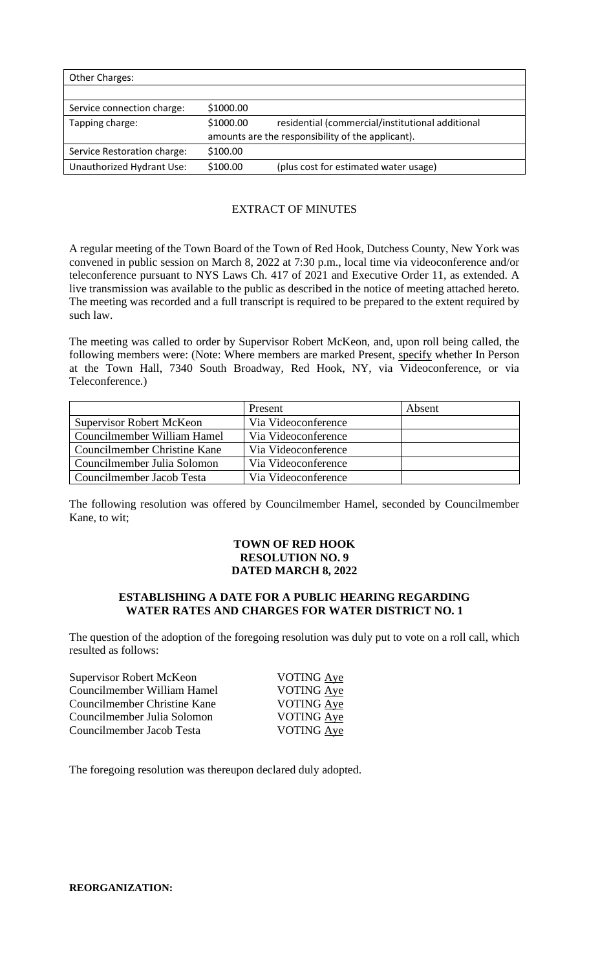| Other Charges:              |           |                                                   |
|-----------------------------|-----------|---------------------------------------------------|
|                             |           |                                                   |
| Service connection charge:  | \$1000.00 |                                                   |
| Tapping charge:             | \$1000.00 | residential (commercial/institutional additional  |
|                             |           | amounts are the responsibility of the applicant). |
| Service Restoration charge: | \$100.00  |                                                   |
| Unauthorized Hydrant Use:   | \$100.00  | (plus cost for estimated water usage)             |

# EXTRACT OF MINUTES

A regular meeting of the Town Board of the Town of Red Hook, Dutchess County, New York was convened in public session on March 8, 2022 at 7:30 p.m., local time via videoconference and/or teleconference pursuant to NYS Laws Ch. 417 of 2021 and Executive Order 11, as extended. A live transmission was available to the public as described in the notice of meeting attached hereto. The meeting was recorded and a full transcript is required to be prepared to the extent required by such law.

The meeting was called to order by Supervisor Robert McKeon, and, upon roll being called, the following members were: (Note: Where members are marked Present, specify whether In Person at the Town Hall, 7340 South Broadway, Red Hook, NY, via Videoconference, or via Teleconference.)

|                                 | Present             | Absent |
|---------------------------------|---------------------|--------|
| <b>Supervisor Robert McKeon</b> | Via Videoconference |        |
| Councilmember William Hamel     | Via Videoconference |        |
| Councilmember Christine Kane    | Via Videoconference |        |
| Councilmember Julia Solomon     | Via Videoconference |        |
| Councilmember Jacob Testa       | Via Videoconference |        |

The following resolution was offered by Councilmember Hamel, seconded by Councilmember Kane, to wit;

## **TOWN OF RED HOOK RESOLUTION NO. 9 DATED MARCH 8, 2022**

#### **ESTABLISHING A DATE FOR A PUBLIC HEARING REGARDING WATER RATES AND CHARGES FOR WATER DISTRICT NO. 1**

The question of the adoption of the foregoing resolution was duly put to vote on a roll call, which resulted as follows:

| Supervisor Robert McKeon     | VOTING Aye        |
|------------------------------|-------------------|
| Councilmember William Hamel  | VOTING Aye        |
| Councilmember Christine Kane | VOTING Aye        |
| Councilmember Julia Solomon  | <b>VOTING Aye</b> |
| Councilmember Jacob Testa    | <b>VOTING Aye</b> |
|                              |                   |

The foregoing resolution was thereupon declared duly adopted.